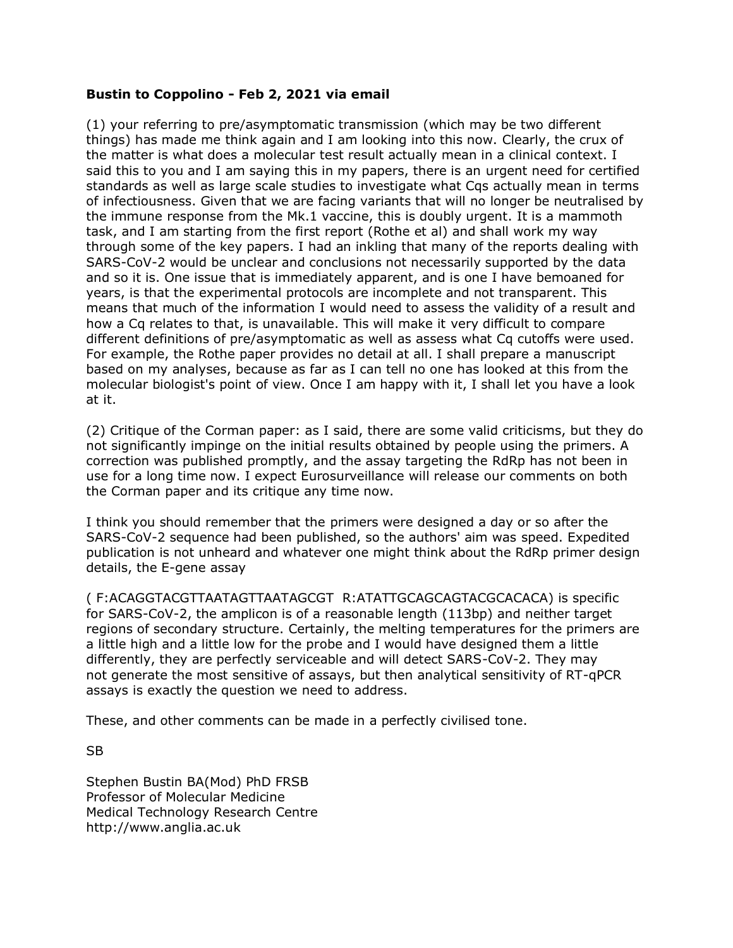## **Bustin to Coppolino - Feb 2, 2021 via email**

(1) your referring to pre/asymptomatic transmission (which may be two different things) has made me think again and I am looking into this now. Clearly, the crux of the matter is what does a molecular test result actually mean in a clinical context. I said this to you and I am saying this in my papers, there is an urgent need for certified standards as well as large scale studies to investigate what Cqs actually mean in terms of infectiousness. Given that we are facing variants that will no longer be neutralised by the immune response from the Mk.1 vaccine, this is doubly urgent. It is a mammoth task, and I am starting from the first report (Rothe et al) and shall work my way through some of the key papers. I had an inkling that many of the reports dealing with SARS-CoV-2 would be unclear and conclusions not necessarily supported by the data and so it is. One issue that is immediately apparent, and is one I have bemoaned for years, is that the experimental protocols are incomplete and not transparent. This means that much of the information I would need to assess the validity of a result and how a Cq relates to that, is unavailable. This will make it very difficult to compare different definitions of pre/asymptomatic as well as assess what Cq cutoffs were used. For example, the Rothe paper provides no detail at all. I shall prepare a manuscript based on my analyses, because as far as I can tell no one has looked at this from the molecular biologist's point of view. Once I am happy with it, I shall let you have a look at it.

(2) Critique of the Corman paper: as I said, there are some valid criticisms, but they do not significantly impinge on the initial results obtained by people using the primers. A correction was published promptly, and the assay targeting the RdRp has not been in use for a long time now. I expect Eurosurveillance will release our comments on both the Corman paper and its critique any time now.

I think you should remember that the primers were designed a day or so after the SARS-CoV-2 sequence had been published, so the authors' aim was speed. Expedited publication is not unheard and whatever one might think about the RdRp primer design details, the E-gene assay

( F:ACAGGTACGTTAATAGTTAATAGCGT R:ATATTGCAGCAGTACGCACACA) is specific for SARS-CoV-2, the amplicon is of a reasonable length (113bp) and neither target regions of secondary structure. Certainly, the melting temperatures for the primers are a little high and a little low for the probe and I would have designed them a little differently, they are perfectly serviceable and will detect SARS-CoV-2. They may not generate the most sensitive of assays, but then analytical sensitivity of RT-qPCR assays is exactly the question we need to address.

These, and other comments can be made in a perfectly civilised tone.

SB

Stephen Bustin BA(Mod) PhD FRSB Professor of Molecular Medicine Medical Technology Research Centre http://www.anglia.ac.uk